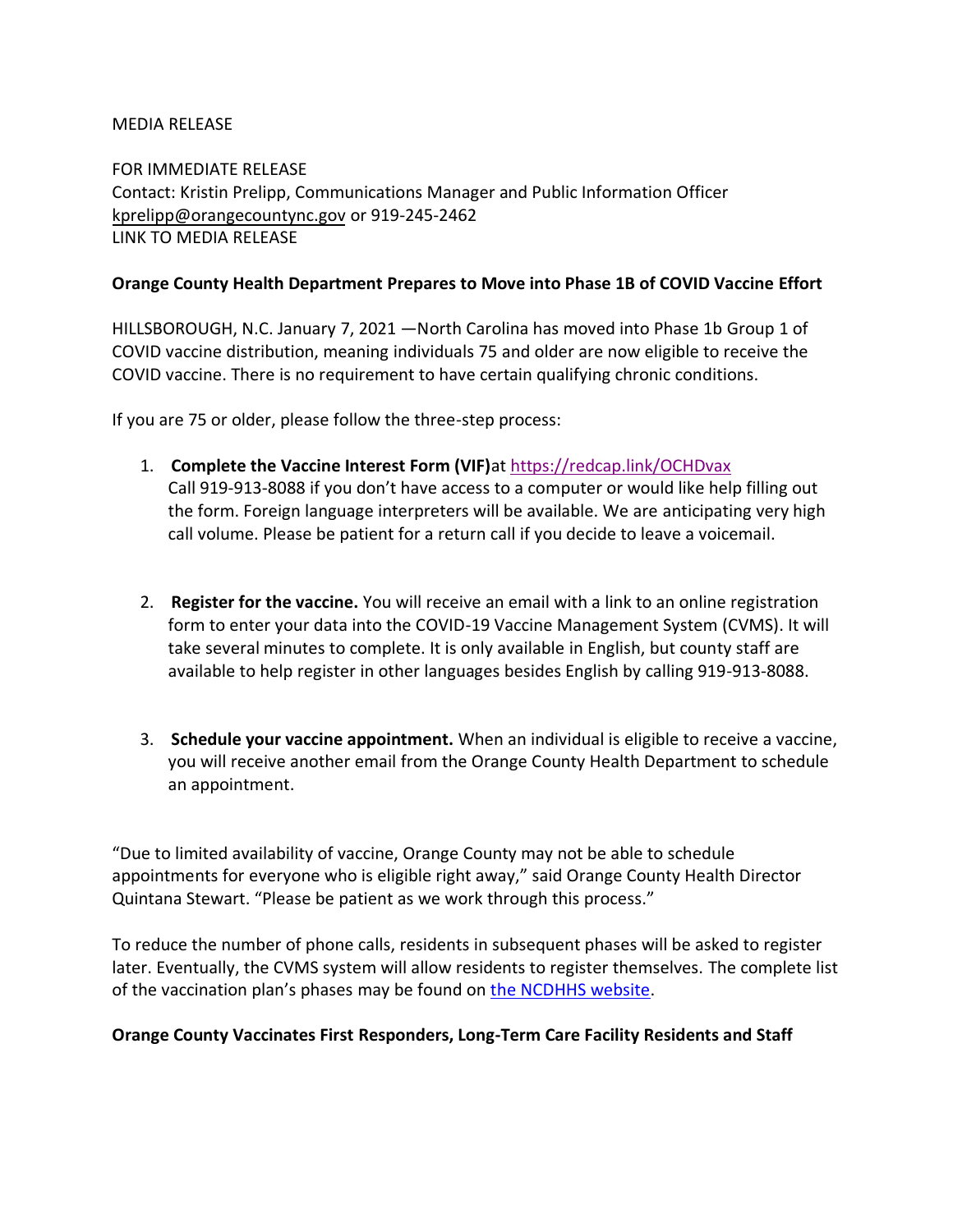### MEDIA RELEASE

FOR IMMEDIATE RELEASE Contact: Kristin Prelipp, Communications Manager and Public Information Officer [kprelipp@orangecountync.gov](mailto:kprelipp@orangecountync.gov) or 919-245-2462 [LINK TO MEDIA RELEASE](https://www.orangecountync.gov/DocumentCenter/View/14327/Orange-County-Health-Department-prepares-to-move-into-Phase-1B-of-COVID-Vaccine-effort_FINAL)

### **Orange County Health Department Prepares to Move into Phase 1B of COVID Vaccine Effort**

HILLSBOROUGH, N.C. January 7, 2021 ―North Carolina has moved into Phase 1b Group 1 of COVID vaccine distribution, meaning individuals 75 and older are now eligible to receive the COVID vaccine. There is no requirement to have certain qualifying chronic conditions.

If you are 75 or older, please follow the three-step process:

- 1. **Complete the Vaccine Interest Form (VIF)**at <https://redcap.link/OCHDvax> Call 919-913-8088 if you don't have access to a computer or would like help filling out the form. Foreign language interpreters will be available. We are anticipating very high call volume. Please be patient for a return call if you decide to leave a voicemail.
- 2. **Register for the vaccine.** You will receive an email with a link to an online registration form to enter your data into the COVID-19 Vaccine Management System (CVMS). It will take several minutes to complete. It is only available in English, but county staff are available to help register in other languages besides English by calling 919-913-8088.
- 3. **Schedule your vaccine appointment.** When an individual is eligible to receive a vaccine, you will receive another email from the Orange County Health Department to schedule an appointment.

"Due to limited availability of vaccine, Orange County may not be able to schedule appointments for everyone who is eligible right away," said Orange County Health Director Quintana Stewart. "Please be patient as we work through this process."

To reduce the number of phone calls, residents in subsequent phases will be asked to register later. Eventually, the CVMS system will allow residents to register themselves. The complete list of the vaccination plan's phases may be found on [the NCDHHS website.](https://covid19.ncdhhs.gov/vaccines)

### **Orange County Vaccinates First Responders, Long-Term Care Facility Residents and Staff**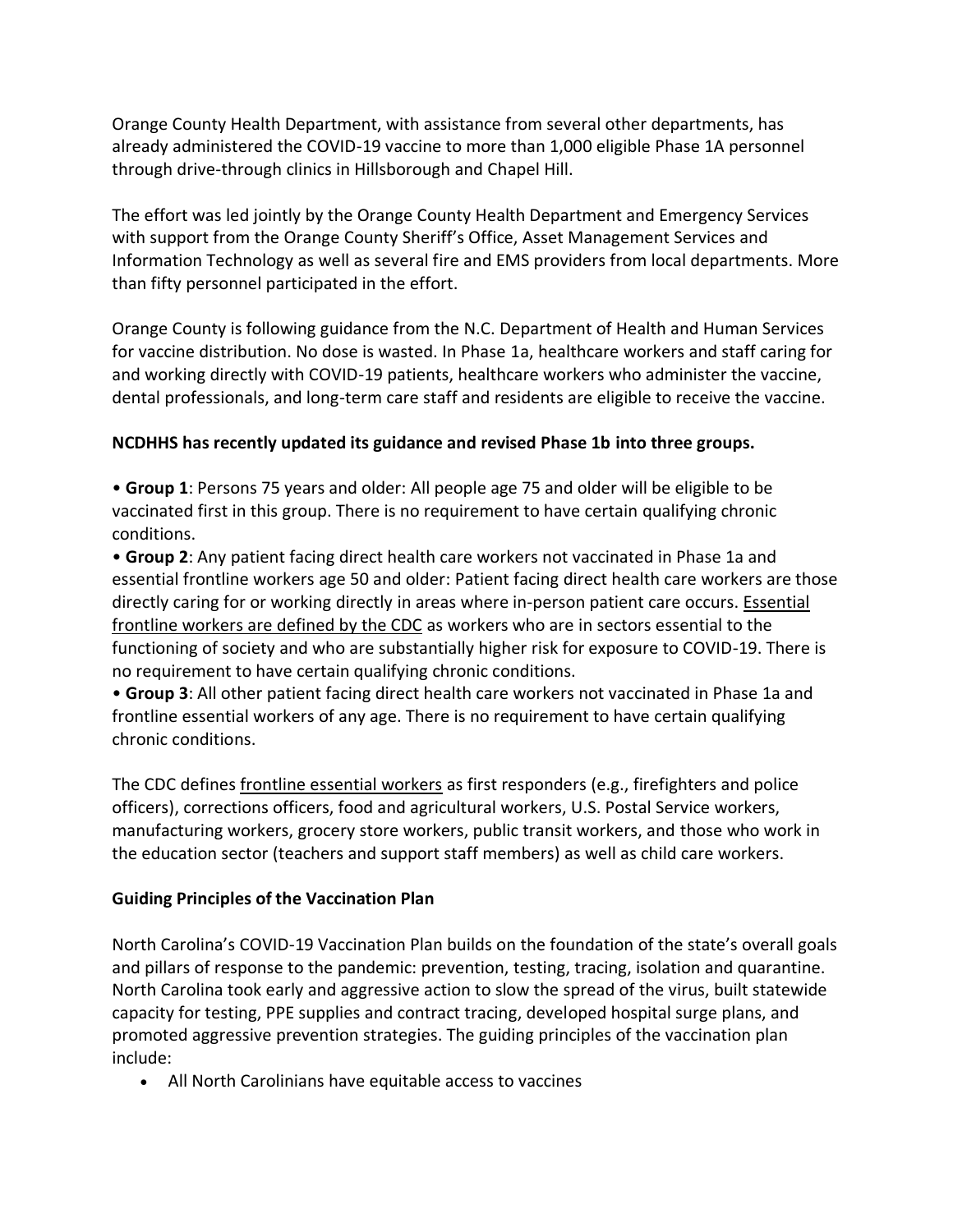Orange County Health Department, with assistance from several other departments, has already administered the COVID-19 vaccine to more than 1,000 eligible Phase 1A personnel through drive-through clinics in Hillsborough and Chapel Hill.

The effort was led jointly by the Orange County Health Department and Emergency Services with support from the Orange County Sheriff's Office, Asset Management Services and Information Technology as well as several fire and EMS providers from local departments. More than fifty personnel participated in the effort.

Orange County is following guidance from the N.C. Department of Health and Human Services for vaccine distribution. No dose is wasted. In Phase 1a, healthcare workers and staff caring for and working directly with COVID-19 patients, healthcare workers who administer the vaccine, dental professionals, and long-term care staff and residents are eligible to receive the vaccine.

## **NCDHHS has recently updated its guidance and revised Phase 1b into three groups.**

• **Group 1**: Persons 75 years and older: All people age 75 and older will be eligible to be vaccinated first in this group. There is no requirement to have certain qualifying chronic conditions.

• **Group 2**: Any patient facing direct health care workers not vaccinated in Phase 1a and essential frontline workers age 50 and older: Patient facing direct health care workers are those directly caring for or working directly in areas where in-person patient care occurs. [Essential](https://urldefense.proofpoint.com/v2/url?u=https-3A__orangecountync.us20.list-2Dmanage.com_track_click-3Fu-3D41e12b857c9ad82a757369724-26id-3Dea44762ef4-26e-3D81728cf992&d=DwMFaQ&c=JRU6Crajf79kKcplUJFHFfpcQ9GkS9xWLut8YRTooJY&r=T2PYX9SKE45hWzZjvyxUhFn-2r1MZan-8ELp4qTFGYQ&m=ssQfBW1eh2RZTS1CYDO9GuUhLWks1lgB4yzrL8LBzmU&s=qtTzRY3N8Gnyfyi_mr60xWV12fTTq6aMNN6h2PRHrK4&e=)  [frontline workers are defined by the CDC](https://urldefense.proofpoint.com/v2/url?u=https-3A__orangecountync.us20.list-2Dmanage.com_track_click-3Fu-3D41e12b857c9ad82a757369724-26id-3Dea44762ef4-26e-3D81728cf992&d=DwMFaQ&c=JRU6Crajf79kKcplUJFHFfpcQ9GkS9xWLut8YRTooJY&r=T2PYX9SKE45hWzZjvyxUhFn-2r1MZan-8ELp4qTFGYQ&m=ssQfBW1eh2RZTS1CYDO9GuUhLWks1lgB4yzrL8LBzmU&s=qtTzRY3N8Gnyfyi_mr60xWV12fTTq6aMNN6h2PRHrK4&e=) as workers who are in sectors essential to the functioning of society and who are substantially higher risk for exposure to COVID-19. There is no requirement to have certain qualifying chronic conditions.

• **Group 3**: All other patient facing direct health care workers not vaccinated in Phase 1a and frontline essential workers of any age. There is no requirement to have certain qualifying chronic conditions.

The CDC defines [frontline essential workers](https://www.cdc.gov/vaccines/hcp/acip-recs/vacc-specific/covid-19/evidence-table-phase-1b-1c.html) as first responders (e.g., firefighters and police officers), corrections officers, food and agricultural workers, U.S. Postal Service workers, manufacturing workers, grocery store workers, public transit workers, and those who work in the education sector (teachers and support staff members) as well as child care workers.

### **Guiding Principles of the Vaccination Plan**

North Carolina's COVID-19 Vaccination Plan builds on the foundation of the state's overall goals and pillars of response to the pandemic: prevention, testing, tracing, isolation and quarantine. North Carolina took early and aggressive action to slow the spread of the virus, built statewide capacity for testing, PPE supplies and contract tracing, developed hospital surge plans, and promoted aggressive prevention strategies. The guiding principles of the vaccination plan include:

• All North Carolinians have equitable access to vaccines